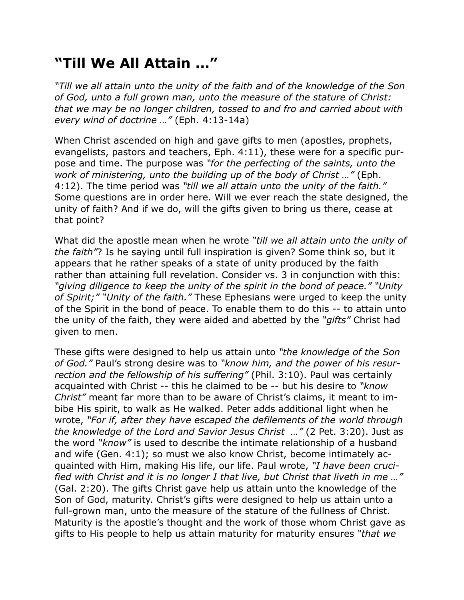## **"Till We All Attain …"**

*"Till we all attain unto the unity of the faith and of the knowledge of the Son of God, unto a full grown man, unto the measure of the stature of Christ: that we may be no longer children, tossed to and fro and carried about with every wind of doctrine …"* (Eph. 4:13-14a)

When Christ ascended on high and gave gifts to men (apostles, prophets, evangelists, pastors and teachers, Eph. 4:11), these were for a specific purpose and time. The purpose was *"for the perfecting of the saints, unto the work of ministering, unto the building up of the body of Christ …"* (Eph. 4:12). The time period was *"till we all attain unto the unity of the faith."* Some questions are in order here. Will we ever reach the state designed, the unity of faith? And if we do, will the gifts given to bring us there, cease at that point?

What did the apostle mean when he wrote *"till we all attain unto the unity of the faith"*? Is he saying until full inspiration is given? Some think so, but it appears that he rather speaks of a state of unity produced by the faith rather than attaining full revelation. Consider vs. 3 in conjunction with this: *"giving diligence to keep the unity of the spirit in the bond of peace." "Unity of Spirit;" "Unity of the faith."* These Ephesians were urged to keep the unity of the Spirit in the bond of peace. To enable them to do this -- to attain unto the unity of the faith, they were aided and abetted by the *"gifts"* Christ had given to men.

These gifts were designed to help us attain unto *"the knowledge of the Son of God."* Paul's strong desire was to *"know him, and the power of his resurrection and the fellowship of his suffering"* (Phil. 3:10). Paul was certainly acquainted with Christ -- this he claimed to be -- but his desire to *"know Christ"* meant far more than to be aware of Christ's claims, it meant to imbibe His spirit, to walk as He walked. Peter adds additional light when he wrote, *"For if, after they have escaped the defilements of the world through the knowledge of the Lord and Savior Jesus Christ …"* (2 Pet. 3:20). Just as the word *"know"* is used to describe the intimate relationship of a husband and wife (Gen. 4:1); so must we also know Christ, become intimately acquainted with Him, making His life, our life. Paul wrote, *"I have been crucified with Christ and it is no longer I that live, but Christ that liveth in me …"* (Gal. 2:20). The gifts Christ gave help us attain unto the knowledge of the Son of God, maturity. Christ's gifts were designed to help us attain unto a full-grown man, unto the measure of the stature of the fullness of Christ. Maturity is the apostle's thought and the work of those whom Christ gave as gifts to His people to help us attain maturity for maturity ensures *"that we*